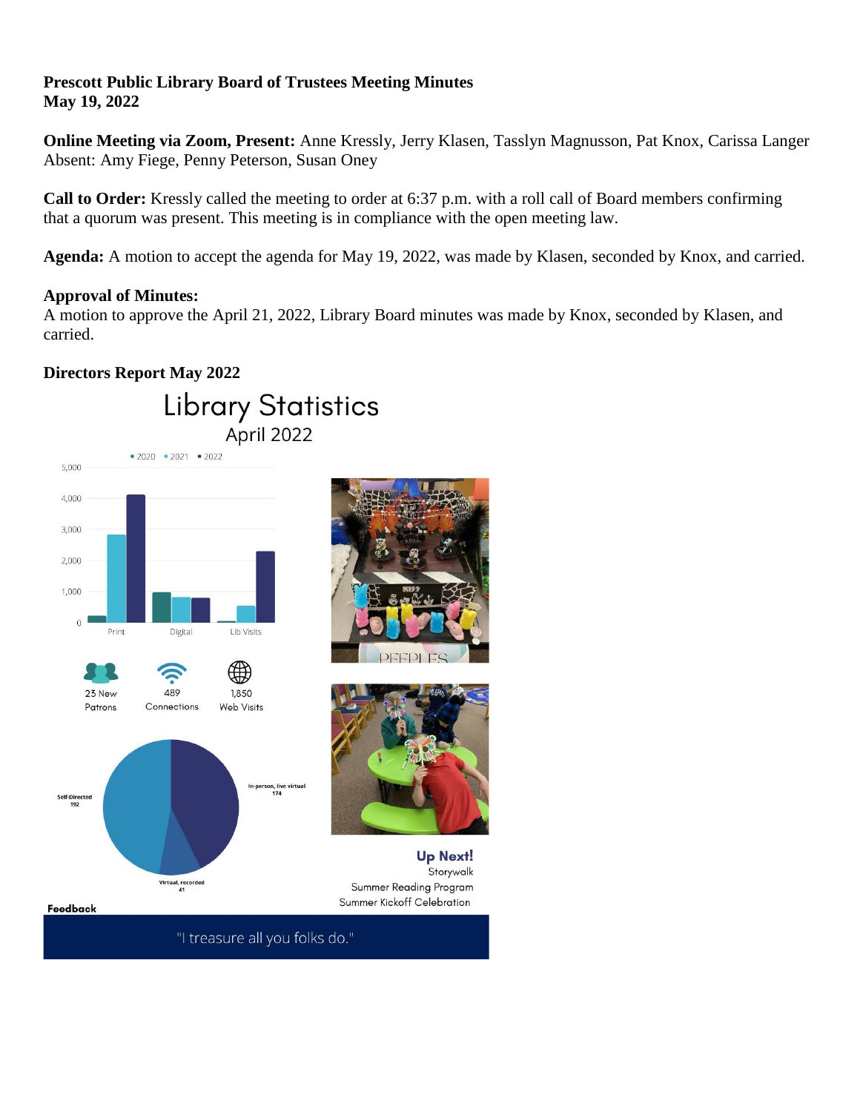# **Prescott Public Library Board of Trustees Meeting Minutes May 19, 2022**

**Online Meeting via Zoom, Present:** Anne Kressly, Jerry Klasen, Tasslyn Magnusson, Pat Knox, Carissa Langer Absent: Amy Fiege, Penny Peterson, Susan Oney

**Call to Order:** Kressly called the meeting to order at 6:37 p.m. with a roll call of Board members confirming that a quorum was present. This meeting is in compliance with the open meeting law.

**Agenda:** A motion to accept the agenda for May 19, 2022, was made by Klasen, seconded by Knox, and carried.

## **Approval of Minutes:**

A motion to approve the April 21, 2022, Library Board minutes was made by Knox, seconded by Klasen, and carried.

# **Directors Report May 2022**

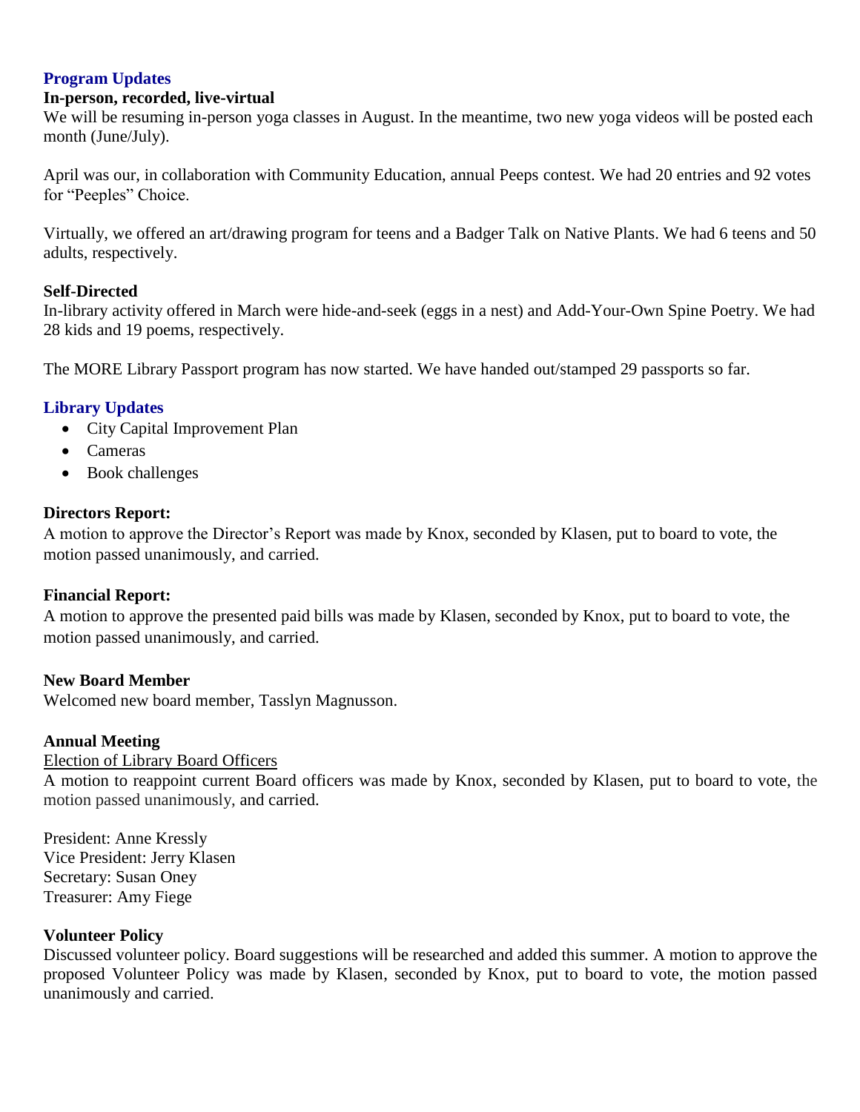# **Program Updates**

### **In-person, recorded, live-virtual**

We will be resuming in-person yoga classes in August. In the meantime, two new yoga videos will be posted each month (June/July).

April was our, in collaboration with Community Education, annual Peeps contest. We had 20 entries and 92 votes for "Peeples" Choice.

Virtually, we offered an art/drawing program for teens and a Badger Talk on Native Plants. We had 6 teens and 50 adults, respectively.

## **Self-Directed**

In-library activity offered in March were hide-and-seek (eggs in a nest) and Add-Your-Own Spine Poetry. We had 28 kids and 19 poems, respectively.

The MORE Library Passport program has now started. We have handed out/stamped 29 passports so far.

# **Library Updates**

- City Capital Improvement Plan
- Cameras
- Book challenges

## **Directors Report:**

A motion to approve the Director's Report was made by Knox, seconded by Klasen, put to board to vote, the motion passed unanimously, and carried.

## **Financial Report:**

A motion to approve the presented paid bills was made by Klasen, seconded by Knox, put to board to vote, the motion passed unanimously, and carried.

### **New Board Member**

Welcomed new board member, Tasslyn Magnusson.

### **Annual Meeting**

### Election of Library Board Officers

A motion to reappoint current Board officers was made by Knox, seconded by Klasen, put to board to vote, the motion passed unanimously, and carried.

President: Anne Kressly Vice President: Jerry Klasen Secretary: Susan Oney Treasurer: Amy Fiege

### **Volunteer Policy**

Discussed volunteer policy. Board suggestions will be researched and added this summer. A motion to approve the proposed Volunteer Policy was made by Klasen, seconded by Knox, put to board to vote, the motion passed unanimously and carried.